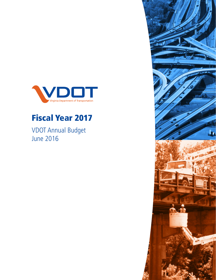

# Fiscal Year 2017

VDOT Annual Budget June 2016

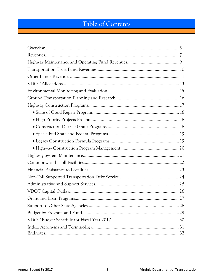# Table of Contents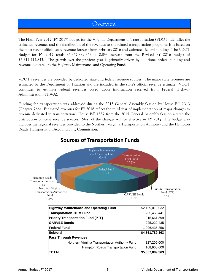### **Overview**

The Fiscal Year 2017 (FY 2017) budget for the Virginia Department of Transportation (VDOT) identifies the estimated revenues and the distribution of the revenues to the related transportation programs. It is based on the most recent official state revenue forecast from February 2016 and estimated federal funding. The VDOT Budget for FY 2017 totals \$5,357,889,363, a 0.8% increase from the Revised FY 2016 Budget of \$5,317,414,843. The growth over the previous year is primarily driven by additional federal funding and revenue dedicated to the Highway Maintenance and Operating Fund.

VDOT's revenues are provided by dedicated state and federal revenue sources. The major state revenues are estimated by the Department of Taxation and are included in the state's official revenue estimate. VDOT continues to estimate federal revenues based upon information received from Federal Highway Administration (FHWA).

Funding for transportation was addressed during the 2013 General Assembly Session by House Bill 2313 (Chapter 766). Estimated revenues for FY 2016 reflect the third year of implementation of major changes to revenue dedicated to transportation. House Bill 1887 from the 2015 General Assembly Session altered the distribution of some revenue sources. Most of the changes will be effective in FY 2017. The budget also includes the regional revenues provided to the Northern Virginia Transportation Authority and the Hampton Roads Transportation Accountability Commission.



### **Sources of Transportation Funds**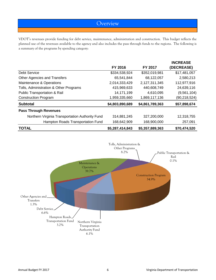### **Overview**

VDOT's revenues provide funding for debt service, maintenance, administration and construction. This budget reflects the planned use of the revenues available to the agency and also includes the pass through funds to the regions. The following is a summary of the programs by spending category:

|                                                 |                 |                 | <b>INCREASE</b> |
|-------------------------------------------------|-----------------|-----------------|-----------------|
|                                                 | FY 2016         | <b>FY 2017</b>  | (DECREASE)      |
| Debt Service                                    | \$334,538,924   | \$352,019,981   | \$17,481,057    |
| Other Agencies and Transfers                    | 65,541,844      | 68,122,057      | 2,580,213       |
| Maintenance & Operations                        | 2,014,333,429   | 2,127,311,345   | 112,977,916     |
| Tolls, Administration & Other Programs          | 415,969,633     | 440,608,749     | 24,639,116      |
| <b>Public Transportation &amp; Rail</b>         | 14,171,199      | 4,610,095       | (9,561,104)     |
| <b>Construction Program</b>                     | 1,959,335,660   | 1,869,117,136   | (90, 218, 524)  |
| <b>Subtotal</b>                                 | \$4,803,890,689 | \$4,861,789,363 | \$57,898,674    |
| <b>Pass Through Revenues</b>                    |                 |                 |                 |
| Northern Virginia Transportation Authority Fund | 314,881,245     | 327,200,000     | 12,318,755      |
| Hampton Roads Transportation Fund               | 168,642,909     | 168,900,000     | 257,091         |
| <b>TOTAL</b>                                    | \$5,287,414,843 | \$5,357,889,363 | \$70,474,520    |

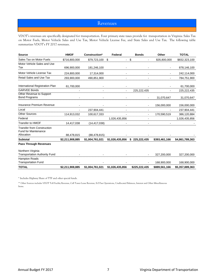#### Revenues

VDOT's revenues are specifically designated for transportation. Four primary state taxes provide for transportation in Virginia: Sales Tax on Motor Fuels, Motor Vehicle Sales and Use Tax, Motor Vehicle License Fee, and State Sales and Use Tax. The following table summarizes VDOT's FY 2017 revenues.

| <b>Source</b>                                                    | <b>HMOF</b>     | Construction*   | Federal         | <b>Bonds</b>  | Other         | <b>TOTAL</b>    |
|------------------------------------------------------------------|-----------------|-----------------|-----------------|---------------|---------------|-----------------|
| Sales Tax on Motor Fuels                                         | \$716,800,000   | \$79,723,100    | \$<br>ä,        | \$            | \$35,800,000  | \$832,323,100   |
| Motor Vehicle Sales and Use                                      |                 |                 |                 |               |               |                 |
| Tax                                                              | 696,900,000     | 181,246,100     |                 |               |               | 878,146,100     |
| Motor Vehicle License Tax                                        | 224,800,000     | 17,314,000      |                 |               |               | 242,114,000     |
| Retail Sales and Use Tax                                         | 293,900,000     | 490,851,900     |                 |               |               | 784,751,900     |
|                                                                  |                 |                 |                 |               |               | 61,700,000      |
| Other Revenue to Support                                         |                 |                 |                 | 225,222,435   |               | 225, 222, 435   |
|                                                                  |                 |                 |                 |               |               |                 |
| Bond Programs                                                    |                 |                 |                 |               | 31,070,647    | 31,070,647      |
| Insurance Premium Revenue                                        |                 |                 |                 |               | 156,000,000   | 156,000,000     |
| Local                                                            |                 | 237,904,441     |                 |               |               | 237,904,441     |
| <b>Other Sources</b>                                             |                 | 100,617,333     |                 |               | 170,590,519   | 386,120,884     |
| Federal                                                          |                 |                 | 1,026,435,856   |               |               | 1,026,435,856   |
| Transfer to HMOF                                                 | 14,417,038      | (14, 417, 038)  |                 |               |               |                 |
| <b>Transfer from Construction</b><br><b>Fund for Maintenance</b> |                 |                 |                 |               |               |                 |
| Allocation                                                       | 88,478,815      | (88, 478, 815)  |                 |               |               |                 |
| <b>Subtotal</b>                                                  | \$2,211,908,885 | \$1,004,761,021 | \$1,026,435,856 | \$225,222,435 | \$393,461,166 | \$4,861,789,363 |
| <b>Pass Through Revenues</b>                                     |                 |                 |                 |               |               |                 |
| Northern Virginia                                                |                 |                 |                 |               |               |                 |
| <b>Transportation Authority Fund</b>                             |                 |                 |                 |               | 327,200,000   | 327,200,000     |
| Hampton Roads                                                    |                 |                 |                 |               |               |                 |
| <b>Transportation Fund</b>                                       |                 |                 |                 |               | 168,900,000   | 168,900,000     |
| <b>TOTAL</b>                                                     | \$2,211,908,885 | \$1,004,761,021 | \$1,026,435,856 | \$225,222,435 | \$889,561,166 | \$5,357,889,363 |

\* Includes Highway Share of TTF and other special funds.

\*\* Other Sources includes VDOT Toll Facility Revenue, Cell Tower Lease Revenue, E-Z Pass Operations, Unallocated Balances, Interest and Other Miscellaneous Items.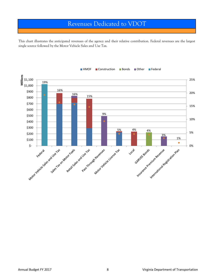## Revenues Dedicated to VDOT

This chart illustrates the anticipated revenues of the agency and their relative contribution. Federal revenues are the largest single source followed by the Motor Vehicle Sales and Use Tax.

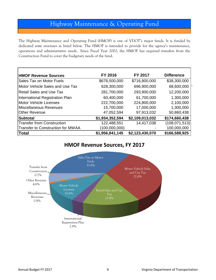## Highway Maintenance & Operating Fund

The Highway Maintenance and Operating Fund (HMOF) is one of VDOT's major funds. It is funded by dedicated state revenues as listed below. The HMOF is intended to provide for the agency's maintenance, operations and administrative needs. Since Fiscal Year 2002, the HMOF has required transfers from the Construction Fund to cover the budgetary needs of the fund.

| <b>HMOF Revenue Sources</b>       | FY 2016         | FY 2017         | <b>Difference</b> |
|-----------------------------------|-----------------|-----------------|-------------------|
| Sales Tax on Motor Fuels          | \$678,500,000   | \$716,800,000   | \$38,300,000      |
| Motor Vehicle Sales and Use Tax   | 628,300,000     | 696,900,000     | 68,600,000        |
| <b>Retail Sales and Use Tax</b>   | 281,700,000     | 293,900,000     | 12,200,000        |
| International Registration Plan   | 60,400,000      | 61,700,000      | 1,300,000         |
| <b>Motor Vehicle Licenses</b>     | 222,700,000     | 224,800,000     | 2,100,000         |
| Miscellaneous Revenues            | 15,700,000      | 17,000,000      | 1,300,000         |
| <b>Other Revenue</b>              | 47,052,594      | 97,913,032      | 50,860,438        |
| Subtotal                          | \$1,934,352,594 | \$2,109,013,032 | \$174,660,438     |
| <b>Transfer from Construction</b> | 122,488,551     | 14,417,038      | (108, 071, 513)   |
| Transfer to Construction for MWAA | (100,000,000)   |                 | 100,000,000       |
| Total                             | \$1,956,841,145 | \$2,123,430,070 | \$166,588,925     |

### **HMOF Revenue Sources, FY 2017**

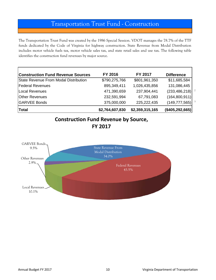## Transportation Trust Fund - Construction

The Transportation Trust Fund was created by the 1986 Special Session. VDOT manages the 78.7% of the TTF funds dedicated by the Code of Virginia for highway construction. State Revenue from Modal Distribution includes motor vehicle fuels tax, motor vehicle sales tax, and state retail sales and use tax. The following table identifies the construction fund revenues by major source.

| <b>Construction Fund Revenue Sources</b> | FY 2016         | <b>FY 2017</b>  | <b>Difference</b> |
|------------------------------------------|-----------------|-----------------|-------------------|
| State Revenue From Modal Distribution    | \$790,275,766   | \$801,961,350   | \$11,685,584      |
| <b>Federal Revenues</b>                  | 895,349,411     | 1,026,435,856   | 131,086,445       |
| Local Revenues                           | 471,390,659     | 237,904,441     | (233, 486, 218)   |
| <b>Other Revenues</b>                    | 232,591,994     | 67,791,083      | (164, 800, 911)   |
| <b>GARVEE Bonds</b>                      | 375,000,000     | 225,222,435     | (149, 777, 565)   |
| Total                                    | \$2,764,607,830 | \$2,359,315,165 | (\$405, 292, 665) |

### **Construction Fund Revenue by Source, FY 2017**

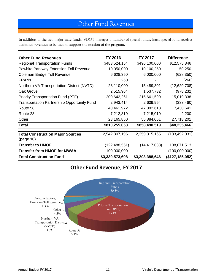## Other Fund Revenues

In addition to the two major state funds, VDOT manages a number of special funds. Each special fund receives dedicated revenues to be used to support the mission of the program.

| <b>Other Fund Revenues</b>                  | FY 2016         | FY 2017         | <b>Difference</b>      |
|---------------------------------------------|-----------------|-----------------|------------------------|
| <b>Regional Transportation Funds</b>        | \$483,524,154   | \$496,100,000   | \$12,575,846           |
| Powhite Parkway Extension Toll Revenue      | 10,050,000      | 10,100,250      | 50,250                 |
| Coleman Bridge Toll Revenue                 | 6,628,350       | 6,000,000       | (628, 350)             |
| <b>FRANS</b>                                | 260             |                 | (260)                  |
| Northern VA Transportation District (NVTD)  | 28,110,009      | 15,489,301      | (12,620,708)           |
| Oak Grove                                   | 2,515,964       | 1,537,732       | (978, 232)             |
| <b>Priority Transportation Fund (PTF)</b>   | 200,642,261     | 215,661,599     | 15,019,338             |
| Transportation Partnership Opportunity Fund | 2,943,414       | 2,609,954       | (333, 460)             |
| Route 58                                    | 40,461,972      | 47,892,613      | 7,430,641              |
| Route 28                                    | 7,212,819       | 7,215,019       | 2,200                  |
| Other                                       | 28,165,850      | 55,884,051      | 27,718,201             |
| <b>Total</b>                                | \$810,255,053   | \$858,490,519   | \$48,235,466           |
| <b>Total Construction Major Sources</b>     | 2,542,807,196   | 2,359,315,165   | (183, 492, 031)        |
| (page 10)                                   |                 |                 |                        |
| <b>Transfer to HMOF</b>                     | (122, 488, 551) | (14, 417, 038)  | 108,071,513            |
| <b>Transfer from HMOF for MWAA</b>          | 100,000,000     |                 | (100,000,000)          |
| <b>Total Construction Fund</b>              | \$3,330,573,698 | \$3,203,388,646 | $($ \$127,185,052) $ $ |

### **Other Fund Revenue, FY 2017**

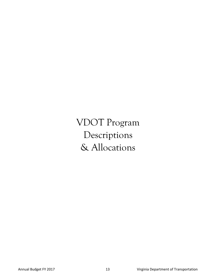VDOT Program Descriptions & Allocations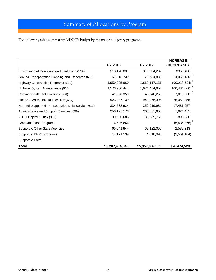## Summary of Allocations by Program

The following table summarizes VDOT's budget by the major budgetary programs.

|                                                      | FY 2016         | FY 2017         | <b>INCREASE</b><br>(DECREASE) |
|------------------------------------------------------|-----------------|-----------------|-------------------------------|
| Environmental Monitoring and Evaluation (514)        | \$13,170,831    | \$13,534,237    | \$363,406                     |
| Ground Transportation Planning and Research (602)    | 57,815,730      | 72,784,885      | 14,969,155                    |
| Highway Construction Programs (603)                  | 1,959,335,660   | 1,869,117,136   | (90, 218, 524)                |
| Highway System Maintenance (604)                     | 1,573,950,444   | 1,674,434,950   | 100,484,506                   |
| Commonwealth Toll Facilities (606)                   | 41,228,350      | 48,248,250      | 7,019,900                     |
| Financial Assistance to Localities (607)             | 923,907,139     | 948,976,395     | 25,069,256                    |
| Non-Toll Supported Transportation Debt Service (612) | 334,538,924     | 352,019,981     | 17,481,057                    |
| Administrative and Support Services (699)            | 258, 127, 173   | 266,051,608     | 7,924,435                     |
| VDOT Capital Outlay (998)                            | 39,090,683      | 39,989,769      | 899,086                       |
| Grant and Loan Programs                              | 6,536,866       |                 | (6,536,866)                   |
| Support to Other State Agencies                      | 65,541,844      | 68,122,057      | 2,580,213                     |
| Support to DRPT Programs                             | 14,171,199      | 4,610,095       | (9,561,104)                   |
| Support to Ports                                     |                 |                 |                               |
| <b>Total</b>                                         | \$5,287,414,843 | \$5,357,889,363 | \$70,474,520                  |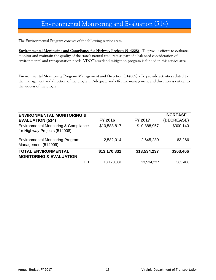## Environmental Monitoring and Evaluation (514)

The Environmental Program consists of the following service areas:

**Environmental Monitoring and Compliance for Highway Projects (514008)** - To provide efforts to evaluate, monitor and maintain the quality of the state's natural resources as part of a balanced consideration of environmental and transportation needs. VDOT's wetland mitigation program is funded in this service area.

**Environmental Monitoring Program Management and Direction (514009)** - To provide activities related to the management and direction of the program. Adequate and effective management and direction is critical to the success of the program.

| <b>ENVIRONMENTAL MONITORING &amp;</b>                                             |              |                | <b>INCREASE</b> |
|-----------------------------------------------------------------------------------|--------------|----------------|-----------------|
| <b>EVALUATION (514)</b>                                                           | FY 2016      | <b>FY 2017</b> | (DECREASE)      |
| <b>Environmental Monitoring &amp; Compliance</b><br>for Highway Projects (514008) | \$10,588,817 | \$10,888,957   | \$300,140       |
| <b>Environmental Monitoring Program</b><br>Management (514009)                    | 2,582,014    | 2,645,280      | 63,266          |
| <b>TOTAL ENVIRONMENTAL</b><br><b>MONITORING &amp; EVALUATION</b>                  | \$13,170,831 | \$13,534,237   | \$363,406       |
| TTF                                                                               | 13,170,831   | 13,534,237     | 363,406         |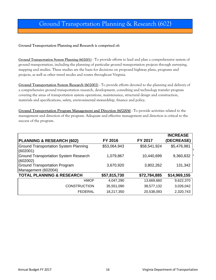## Ground Transportation Planning & Research (602)

#### **Ground Transportation Planning and Research is comprised of:**

**Ground Transportation System Planning (602001)** - To provide efforts to lead and plan a comprehensive system of ground transportation, including the planning of particular ground transportation projects through surveying, mapping and studies. These studies are the basis for decisions on proposed highway plans, programs and projects, as well as other travel modes and routes throughout Virginia.

**Ground Transportation System Research (602002)** - To provide efforts devoted to the planning and delivery of a comprehensive ground transportation research, development, consulting and technology transfer program covering the areas of transportation system operations, maintenance, structural design and construction, materials and specifications, safety, environmental stewardship, finance and policy.

**Ground Transportation Program Management and Direction (602004)** - To provide activities related to the management and direction of the program. Adequate and effective management and direction is critical to the success of the program.

|                                                          |              |              | <b>INCREASE</b> |
|----------------------------------------------------------|--------------|--------------|-----------------|
| <b>PLANNING &amp; RESEARCH (602)</b>                     | FY 2016      | FY 2017      | (DECREASE)      |
| <b>Ground Transportation System Planning</b><br>(602001) | \$53,064,943 | \$58,541,924 | \$5,476,981     |
| <b>Ground Transportation System Research</b><br>(602002) | 1,079,867    | 10,440,699   | 9,360,832       |
| <b>Ground Transportation Program</b>                     | 3,670,920    | 3,802,262    | 131,342         |
| Management (602004)                                      |              |              |                 |
| <b>TOTAL PLANNING &amp; RESEARCH</b>                     | \$57,815,730 | \$72,784,885 | \$14,969,155    |
| <b>HMOF</b>                                              | 4,047,290    | 13,669,660   | 9,622,370       |
| <b>CONSTRUCTION</b>                                      | 35,551,090   | 38,577,132   | 3,026,042       |
| <b>FEDERAL</b>                                           | 18,217,350   | 20,538,093   | 2,320,743       |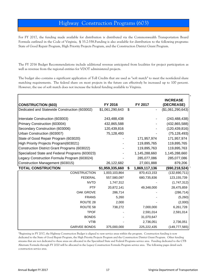For FY 2017, the funding made available for distribution is distributed via the Commonwealth Transportation Board Formula outlined in the Code of Virginia, § 33.2-358.Funding is also available for distribution to the following programs: State of Good Repair Program, High Priority Projects Program, and the Construction District Grant Program.

The FY 2016 Budget Recommendations include additional revenue anticipated from localities for project participation as well as revenue from the regional entities for VDOT administered projects.

The budget also contains a significant application of Toll Credits that are used as "soft match" to meet the nonfederal share matching requirements. The federal share on most projects in the future can effectively be increased up to 100 percent. However, the use of soft match does not increase the federal funding available to Virginia.

|                                                 |                 |                     | <b>INCREASE</b>   |
|-------------------------------------------------|-----------------|---------------------|-------------------|
| <b>CONSTRUCTION (603)</b>                       | FY 2016         | FY 2017             | (DECREASE)        |
| Dedicated and Statewide Construction (603002)   | \$1,061,290,643 | \$                  | (\$1,061,290,643) |
|                                                 |                 |                     |                   |
| Interstate Construction (603003)                | 243,488,438     |                     | (243, 488, 438)   |
| Primary Construction (603004)                   | 432,865,588     |                     | (432, 865, 588)   |
| Secondary Construction (603006)                 | 120,439,816     |                     | (120, 439, 816)   |
| Urban Construction (603007)                     | 75,128,493      |                     | (75, 128, 493)    |
| State of Good Repair Program (603020)           |                 | 171,957,974         | 171,957,974       |
| High Priority Projects Program(603021)          |                 | 119,895,765         | 119,895,765       |
| Construction District Grant Programs (603022)   |                 | 119,895,763         | 119,895,763       |
| Specialized State and Federal Programs (603023) |                 | 1,145,288,660       | 1,145,288,660     |
| Legacy Construction Formula Program (603024)    |                 | 285,077,086         | 285,077,086       |
| Construction Management (603015)                | 26,122,682      | 27,001,888          | 879,206           |
| <b>TOTAL CONSTRUCTION</b>                       | \$1,959,335,660 | \$<br>1,869,117,136 | (\$90,218,524)    |
| <b>CONSTRUCTION</b>                             | 1,003,103,864   | 870,413,153         | (132, 690, 711)   |
| <b>FEDERAL</b>                                  | 557,580,097     | 680,735,836         | 123, 155, 739     |
| <b>NVTD</b>                                     | 1,747,312       |                     | (1,747,312)       |
| <b>PTF</b>                                      | 20,872,141      | 49,348,000          | 28,475,859        |
| <b>OAK GROVE</b>                                | 286,714         |                     | (286, 714)        |
| <b>FRANS</b>                                    | 5,260           |                     | (5,260)           |
| ROUTE 28                                        | 2,000           |                     | (2,000)           |
| ROUTE <sub>58</sub>                             | 738,272         | 7,000,000           | 6,261,728         |
| <b>TPOF</b>                                     |                 | 2,591,014           | 2,591,014         |
| <b>BONDS</b>                                    |                 | 31,070,647          |                   |
| <b>VTIB</b>                                     |                 | 2,736,051           | 2,736,051         |
| <b>GARVEE BONDS</b>                             | 375,000,000     | 225,222,435         | (149, 777, 565)   |

\*Beginning in FY 2017, the Highway Construction Budget is aligned to new service areas within the program. Construction funding is now dedicated to the State of Good Repair Program, the High Priority Projects Program and the Construction District Grant Program. Other funding streams that are not dedicated to these areas are allocated in the Specialized State and Federal Programs service area. Funding dedicated to the CTB Alternate Formula through FY 2020 will be allocated in the Legacy Construction Formula Program service area. The following pages detail each construction service area.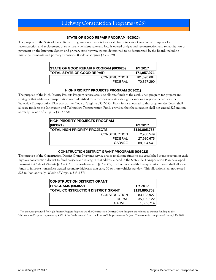#### **STATE OF GOOD REPAIR PROGRAM (603020)**

The purpose of the State of Good Repair Program service area is to allocate funds to state of good repair purposes for reconstruction and replacement of structurally deficient state and locally owned bridges and reconstruction and rehabilitation of pavement on the Interstate System and primary state highway system determined to be deteriorated by the Board, including municipality-maintained primary extensions. (Code of Virginia §33.2-369)

| <b>STATE OF GOOD REPAIR PROGRAM (603020)</b> | FY 2017     |
|----------------------------------------------|-------------|
| <b>TOTAL STATE OF GOOD REPAIR</b>            | 171,957,974 |
| <b>CONSTRUCTION</b>                          | 101,590,684 |
| FFDFRAL                                      | 70,367,290  |

#### **HIGH PRIOIRTY PROJECTS PROGRAM (603021)**

The purpose of the High Priority Projects Program service area is to allocate funds to the established program for projects and strategies that address a transportation need identified for a corridor of statewide significance or a regional network in the Statewide Transportation Plan pursuant to Code of Virginia §33.2-353. From funds allocated to this program, the Board shall allocate funds to the Innovation and Technology Transportation Fund, provided that the allocation shall not exceed \$25 million annually. (Code of Virginia §33.2-370)

| <b>IHIGH PRIORITY PROJECTS PROGRAM</b> |               |
|----------------------------------------|---------------|
| (603021)                               | FY 2017       |
| <b>TOTAL HIGH PRIORITY PROJECTS</b>    | \$119,895,765 |
| <b>CONSTRUCTION</b>                    | 2,930,549     |
| FEDERAL                                | 27,980,675    |
| GARVEE                                 | 88,984,541    |

#### **CONSTRUCTION DISTRICT GRANT PROGRAMS (603022)**

The purpose of the Construction District Grant Programs service area is to allocate funds to the established grant program in each highway construction district to fund projects and strategies that address a need in the Statewide Transportation Plan developed pursuant to Code of Virginia §33.2-353. In accordance with §33.2-359, the Commonwealth Transportation Board shall allocate funds to improve nonsurface treated secondary highways that carry 50 or more vehicles per day. This allocation shall not exceed \$25 million annually. (Code of Virginia, §33.2-371)

| <b>CONSTRUCTION DISTRICT GRANT</b>       |                |
|------------------------------------------|----------------|
| <b>PROGRAMS (603022)</b>                 | <b>FY 2017</b> |
| <b>TOTAL CONSTRUCTION DISTRICT GRANT</b> | \$119,895,763  |
| <b>CONSTRUCTION</b>                      | 83,103,927     |
| FEDERAL                                  | 35,109,122     |
| <b>GARVEE</b>                            | 1,682,714      |

\* The amounts provided for High Priority Projects Program and the Construction District Grant Program are reduced to transfer funding to the Maintenance Program, representing 45% of the funds released from the Route 460 Improvements Project. These transfers are planned through FY 2019.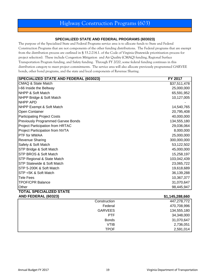#### **SPECIALIZED STATE AND FEDERAL PROGRAMS (603023)**

The purpose of the Specialized State and Federal Programs service area is to allocate funds to State and Federal Construction Programs that are not components of the other funding distributions. The Federal programs that are exempt from the distribution process are outlined in § 33.2-214.1. of the Code of Virginia (Statewide prioritization process for project selection). These include Congestion Mitigation and Air Quality (CMAQ) funding, Regional Surface Transportation Program funding, and Safety funding. Through FY 2020, some federal funding continues in this distribution category to meet project commitments. The service area will also allocate previously programmed GARVEE bonds, other bond programs, and the state and local components of Revenue Sharing.

| <b>SPECIALIZED STATE AND FEDERAL (603023)</b> | FY 2017        |
|-----------------------------------------------|----------------|
| <b>CMAQ &amp; State Match</b>                 | \$37,511,478   |
| I-66 Inside the Beltway                       | 25,000,000     |
| <b>INHPP &amp; Soft Match</b>                 | 65,591,952     |
| NHPP Bridge & Soft Match                      | 10,127,005     |
| <b>NHPP APD</b>                               |                |
| <b>NHPP Exempt &amp; Soft Match</b>           | 14,540,765     |
| <b>Open Container</b>                         | 20,795,408     |
| <b>Participating Project Costs</b>            | 40,000,000     |
| <b>Previously Programmed Garvee Bonds</b>     | 134,555,180    |
| <b>Project Participation from HRTAC</b>       | 29,036,064     |
| <b>Project Participation from NVTA</b>        | 8,000,000      |
| PTF for MWAA                                  | 25,000,000     |
| <b>Revenue Sharing</b>                        | 300,000,000    |
| Safety & Soft Match                           | 53,122,502     |
| STP Bridge & Soft Match                       | 45,000,000     |
| <b>STP BROS &amp; Soft Match</b>              | 15,258,197     |
| STP Regional & State Match                    | 103,042,439    |
| <b>STP Statewide &amp; Soft Match</b>         | 23,065,722     |
| STP 5-200K & Soft Match                       | 19,618,689     |
| STP <5K & Soft Match                          | 36,139,288     |
| Tele Fees                                     | 10,367,377     |
| <b>TPOF/CPR Balance</b>                       | 31,070,647     |
| Other                                         | 98,445,947     |
| <b>TOTAL SPECIALIZED STATE</b>                |                |
| AND FEDED AL <i>(CODD</i> )                   | CA AAE OOO CCO |

| AND FEDERAL (00323) |                | <b>JI, 140,200,000</b> |
|---------------------|----------------|------------------------|
|                     | Construction   | 447,278,772            |
|                     | Federal        | 470,708,996            |
|                     | <b>GARVEES</b> | 134,555,180            |
|                     | <b>PTF</b>     | 34,348,000             |
|                     | <b>Bonds</b>   | 31,070,647             |
|                     | <b>VTIB</b>    | 2,736,051              |
|                     | <b>TPOF</b>    | 2,591,014              |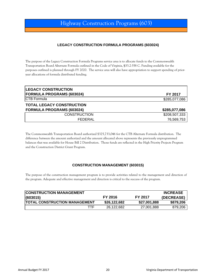#### **LEGACY CONSTRUCTION FORMULA PROGRAMS (603024)**

The purpose of the Legacy Construction Formula Programs service area is to allocate funds to the Commonwealth Transportation Board Alternate Formula outlined in the Code of Virginia, §33.2-358 C. Funding available for the purposes outlined is planned through FY 2020. The service area will also have appropriation to support spending of prioryear allocations of formula distributed funding.

| <b>LEGACY CONSTRUCTION</b>       |                |
|----------------------------------|----------------|
| <b>FORMULA PROGRAMS (603024)</b> | <b>FY 2017</b> |
| <b>ICTB Formula</b>              | \$285,077,086  |
| <b>TOTAL LEGACY CONSTRUCTION</b> |                |
| <b>FORMULA PROGRAMS (603024)</b> | \$285,077,086  |
| <b>CONSTRUCTION</b>              | \$208,507,333  |
| FEDERAL                          | 76,569,753     |

The Commonwealth Transportation Board authorized \$325,733,046 for the CTB Alternate Formula distribution. The difference between the amount authorized and the amount allocated above represents the previously unprogrammed balances that was available for House Bill 2 Distribution. Those funds are reflected in the High Priority Projects Program and the Construction District Grant Program.

#### **CONSTRUCTION MANAGEMENT (603015)**

The purpose of the construction management program is to provide activities related to the management and direction of the program. Adequate and effective management and direction is critical to the success of the program.

| <b>ICONSTRUCTION MANAGEMENT</b>       |              |                | <b>INCREASE</b> |
|---------------------------------------|--------------|----------------|-----------------|
| (603015)                              | FY 2016      | <b>FY 2017</b> | (DECREASE)      |
| <b>ITOTAL CONSTRUCTION MANAGEMENT</b> | \$26,122,682 | \$27,001,888   | \$879,206       |
| TTF                                   | 26,122,682   | 27,001,888     | 879,206         |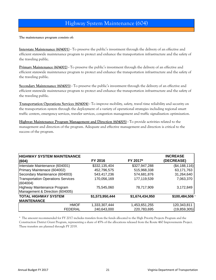### Highway System Maintenance (604)

**The maintenance program consists of:**

**Interstate Maintenance (604001) -** To preserve the public's investment through the delivery of an effective and efficient statewide maintenance program to protect and enhance the transportation infrastructure and the safety of the traveling public.

**Primary Maintenance (604002) -** To preserve the public's investment through the delivery of an effective and efficient statewide maintenance program to protect and enhance the transportation infrastructure and the safety of the traveling public.

**Secondary Maintenance (604003) -** To preserve the public's investment through the delivery of an effective and efficient statewide maintenance program to protect and enhance the transportation infrastructure and the safety of the traveling public.

**Transportation Operations Services (604004) -** To improve mobility, safety, travel time reliability and security on the transportation system through the deployment of a variety of operational strategies including regional smart traffic centers, emergency services, traveler services, congestion management and traffic signalization optimization.

**Highway Maintenance Program Management and Direction (604005) -** To provide activities related to the management and direction of the program. Adequate and effective management and direction is critical to the success of the program.

| <b>HIGHWAY SYSTEM MAINTENANCE</b>         |                 |                 | <b>INCREASE</b> |
|-------------------------------------------|-----------------|-----------------|-----------------|
| (604)                                     | FY 2016         | FY 2017*        | (DECREASE)      |
| Interstate Maintenance (604001)           | \$332,135,404   | \$327,947,288   | (\$4,188,116)   |
| Primary Maintenace (604002)               | 452,796,575     | 515,968,338     | 63,171,763      |
| Secondary Maintenance (604003)            | 543,417,236     | 574,681,876     | 31,264,640      |
| <b>Transportation Operations Services</b> | 170,056,169     | 177,119,539     | 7,063,370       |
| (604004)                                  |                 |                 |                 |
| Highway Maintenance Program               | 75,545,060      | 78,717,909      | 3,172,849       |
| Management & Direction (604005)           |                 |                 |                 |
| <b>TOTAL HIGHWAY SYSTEM</b>               | \$1,573,950,444 | \$1,674,434,950 | \$100,484,506   |
| <b>MAINTENANCE</b>                        |                 |                 |                 |
| <b>HMOF</b>                               | 1,333,307,444   | 1,453,651,255   | 120,343,811     |
| <b>FEDERAL</b>                            | 240,643,000     | 220,783,695     | (19,859,305)    |

\* The amount recommended for FY 2017 includes transfers from the funds allocated to the High Priority Projects Program and the Construction District Grant Program, representing a share of 45% of the allocations released from the Route 460 Improvements Project. These transfers are planned through FY 2019.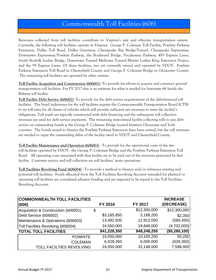## Commonwealth Toll Facilities (606)

Revenues collected from toll facilities contribute to Virginia's safe and effective transportation system. Currently, the following toll facilities operate in Virginia: George P. Coleman Toll Facility, Powhite Parkway Extension, Dulles Toll Road, Dulles Greenway, Chesapeake Bay Bridge-Tunnel, Chesapeake Expressway, Downtown Expressway/Powhite Parkway, the Boulevard Bridge, Pocahontas Parkway, 495 Express Lanes, South Norfolk Jordan Bridge, Downtown Tunnel/Midtown Tunnel/Martin Luther King Extension Project, and the 95 Express Lanes. Of these facilities, two are currently owned and operated by VDOT: Powhite Parkway Extension Toll Road in Chesterfield County and George P. Coleman Bridge in Gloucester County. The remaining toll facilities are operated by other entities.

**Toll Facility Acqusition and Construction (606001) -**To provide for efforts to acquire and construct ground transportation toll facilities. For FY 2017 this is an estimate for what is needed for Interstate 66 Inside the Beltway toll facility.

**Toll Facility Debt Service (606002) -**To provide for the debt service requirements of the debt-financed toll facilities. The bond indentures for the toll facilities require the Commonwealth Transportation Board (CTB) to set toll rates for all classes of vehicles which will provide sufficient net revenues to meet the facility's obligations. Toll roads are typically constructed with debt financing and the subsequent toll collection revenues are used for debt service payments. The remaining state-owned facility collecting tolls to pay debt service on outstanding bonds is the George P. Coleman Bridge located between Gloucester and York counties. The bonds issued to finance the Powhite Parkway Extension have been retired, but the toll revenues are needed to repay the outstanding debts of the facility owed to VDOT and Chesterfield County.

**Toll Facility Maintenance and Operation (606003) -** To provide for the operational costs of the two toll facilities operated by VDOT: the George P. Coleman Bridge and the Powhite Parkway Extension Toll Road. All operating costs associated with that facility are to be paid out of the revenues generated by that facility. Customer service and toll collection are toll facilities' main operations.

**Toll Facilities Revolving Fund (606004) -** To provide a method to finance and/or refinance existing and potential toll facilities. Funds allocated from the Toll Facilities Revolving Account intended for planned or operating toll facilities are considered advance funding and are expected to be repaid to the Toll Facilities Revolving Account.

| <b>COMMONWEALTH TOLL FACILITIES</b> |              |              | <b>INCREASE</b>  |
|-------------------------------------|--------------|--------------|------------------|
| (606)                               | FY 2016      | FY 2017      | (DECREASE)       |
| Acquisition & Construction (606001) | \$           | \$12,300,000 | \$12,300,000     |
| Debt Service (606002)               | \$3,185,850  | 3,188,200    | \$2,350          |
| Maintenance & Operations (606003)   | 13,492,500   | 12,912,050   | (580, 450)       |
| Toll Facilties Revolving (606004)   | 24,550,000   | 19,848,000   | (4,702,000)      |
| <b>TOTAL TOLL FACILITIES</b>        | \$41,228,350 | \$48,248,250 | $($ \$5,280,100) |
| <b>POWHITE</b>                      | 10,050,000   | 10,100,250   | 50,250           |
| <b>COLEMAN</b>                      | 6,628,350    | 6,000,000    | (628, 350)       |
| TOLL FACILTIES REVOLVING            | 24,550,000   | 32,148,000   | 7,598,000        |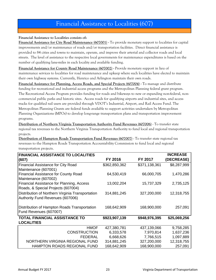### Financial Assistance to Localities (607)

#### **Financial Assistance to Localities consists of:**

**Financial Assistance for City Road Maintenance (607001) -** To provide monetary support to localities for capital improvements and/or maintenance of roads and/or transportation facilities. Direct financial assistance is provided to 84 cities and towns to maintain, operate, and improve their arterial and collector roads and local streets. The level of assistance to the respective local governments for maintenance expenditures is based on the number of qualifying lane-miles in each locality and available funding.

**Financial Assistance for County Road Maintenance (607002) -** Provide monetary support in lieu of maintenance services to localities for road maintenance and upkeep where such localities have elected to maintain their own highway systems. Currently, Henrico and Arlington maintain their own roads.

**Financial Assistance for Planning, Access Roads, and Special Projects (607004) -** To manage and distribute funding for recreational and industrial access programs and the Metropolitan Planning federal grant program. The Recreational Access Program provides funding for roads and bikeways to new or expanding non-federal, noncommercial public parks and historic sites. Access roads for qualifying airports and industrial sites, and access tracks for qualified rail users are provided through VDOT's Industrial, Airport, and Rail Access Fund. The Metropolitan Planning Grants are federal funds available to support activities undertaken by Metropolitan Planning Organizations (MPOs) to develop long-range transportation plans and transportation improvement programs.

**Distribution of Northern Virginia Transportation Authority Fund Revenues (607006)** - To transfer state regional tax revenues to the Northern Virginia Transportation Authority to fund local and regional transportation projects.

**Distribution of Hampton Roads Transportation Fund Revenues (607007)** - To transfer state regional tax revenues to the Hampton Roads Transportation Accountability Commission to fund local and regional transportation projects.

| <b>FINANCIAL ASSISTANCE TO LOCALITIES</b>        |               |               | <b>INCREASE</b> |
|--------------------------------------------------|---------------|---------------|-----------------|
| (607)                                            | FY 2016       | FY 2017       | (DECREASE)      |
| <b>Financial Assistance for City Road</b>        | \$362,850,362 | \$371,138,361 | \$8,287,999     |
| Maintenance (607001)                             |               |               |                 |
| <b>Financial Assistance for County Road</b>      | 64,530,419    | 66,000,705    | 1,470,286       |
| Maintenance (607002)                             |               |               |                 |
| Financial Assistance for Planning, Access        | 13,002,204    | 15,737,329    | 2,735,125       |
| Roads, & Special Projects (607004)               |               |               |                 |
| Distribution of Northern Virginia Transportation | 314,881,245   | 327,200,000   | 12,318,755      |
| Authority Fund Revenues (607006)                 |               |               |                 |
|                                                  |               |               |                 |
| Distribution of Hampton Roads Transportation     | 168,642,909   | 168,900,000   | 257,091         |
| Fund Revenues (607007)                           |               |               |                 |
| <b>TOTAL FINANCIAL ASSISTANCE TO</b>             | \$923,907,139 | \$948,976,395 | \$25,069,256    |
| <b>LOCALITIES</b>                                |               |               |                 |
| <b>HMOF</b>                                      | 427,380,781   | 437,139,066   | 9,758,285       |
| <b>CONSTRUCTION</b>                              | 6,333,578     | 7,970,814     | 1,637,236       |
| <b>FEDERAL</b>                                   | 6,668,626     | 7,766,515     | 1,097,889       |
| NORTHERN VIRGINIA REGIONAL FUND                  | 314,881,245   | 327,200,000   | 12,318,755      |
| <b>HAMPTON ROADS REGIONAL FUND</b>               | 168,642,909   | 168,900,000   | 257,091         |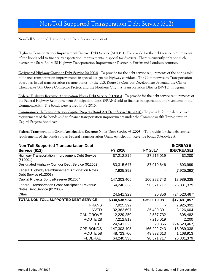## Non-Toll Supported Transporation Debt Service (612)

Non-Toll Supported Transportation Debt Service consists of:

**Highway Transportation Improvement District Debt Service (612001) -** To provide for the debt service requirements of the bonds sold to finance transportation improvements in special tax districts. There is currently only one such district, the State Route 28 Highway Transportation Improvement District in Fairfax and Loudoun counties.

**Designated Highway Corridor Debt Service (612002) -** To provide for the debt service requirements of the bonds sold to finance transportation improvements in special designated highway corridors. The Commonwealth Transportation Board has issued transportation revenue bonds for the U.S. Route 58 Corridor Development Program, the City of Chesapeake Oak Grove Connector Project, and the Northern Virginia Transportation District (NVTD) Program.

**Federal Highway Revenue Anticipation Notes Debt Service (612003) -** To provide for the debt service requirements of the Federal Highway Reimbursement Anticipation Notes (FRANs) sold to finance transportation improvements in the Commonwealth. The bonds were retired in FY 2016.

**Commonwealth Transportation Capital Projects Bond Act Debt Service (612004) -** To provide for the debt service requirements of the bonds sold to finance transportation improvements under the Commonwealth Transportation Capital Projects Bond Act.

**Federal Transportation Grant Anticipation Revenue Notes Debt Service (612005) -** To provide for the debt service requirements of the bonds sold as Federal Transportation Grant Anticipation Revenue bonds (GARVEEs).

| <b>Non-Toll Supported Transportation Debt</b>                                           |               |               | <b>INCREASE</b> |
|-----------------------------------------------------------------------------------------|---------------|---------------|-----------------|
| Service (612)                                                                           | FY 2016       | FY 2017       | (DECREASE)      |
| Highway Transportation Improvement Debt Service<br>(612001)                             | \$7,212,819   | \$7,215,019   | \$2,200         |
| Designated Highway Corridor Debt Service (612002)                                       | 83,315,647    | 87,919,646    | 4,603,999       |
| Federal Highway Reimbursement Anticipation Notes<br>Debt Service (612003)               | 7,925,392     |               | (7,925,392)     |
| Capital Projects Bonds/Reserve (612004)                                                 | 147,303,405   | 166,292,743   | 18,989,338      |
| <b>Federal Transportation Grant Anticipation Revenue</b><br>Notes Debt Service (612005) | 64,240,338    | 90,571,717    | 26,331,379      |
| Other                                                                                   | 24,541,323    | 20,856        | (24, 520, 467)  |
| TOTAL NON-TOLL SUPPORTED DEBT SERVICE                                                   | \$334,538,924 | \$352,019,981 | \$17,481,057    |
| <b>FRANS</b>                                                                            | 7,925,392     |               | (7,925,392)     |
| <b>NVTD</b>                                                                             | 32,362,697    | 35,489,301    | 3,126,604       |
| <b>OAK GROVE</b>                                                                        | 2,229,250     | 2,537,732     | 308,482         |
| ROUTE 28                                                                                | 7,212,819     | 7,215,019     | 2,200           |
| <b>PTF</b>                                                                              | 24,541,323    | 20,856        | (24, 520, 467)  |
| <b>CPR BONDS</b>                                                                        | 147,303,405   | 166,292,743   | 18,989,338      |
| ROUTE 58                                                                                | 48,723,700    | 49,892,613    | 1,168,913       |
| <b>FEDERAL</b>                                                                          | 64,240,338    | 90,571,717    | 26,331,379      |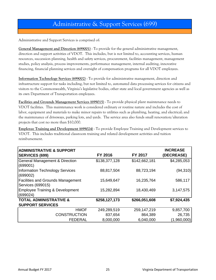## Administrative & Support Services (699)

Administrative and Support Services is comprised of:

**General Management and Direction (699001)** - To provide for the general administrative management, direction and support activities of VDOT. This includes, but is not limited to, accounting services, human resources, succession planning, health and safety services, procurement, facilities management, management studies, policy analysis, process improvements, performance management, internal auditing, innovative financing, financial planning services and oversight of compensation programs for all VDOT employees.

**Information Technology Services (699002)** - To provide for administrative management, direction and infrastructure support for tasks including, but not limited to, automated data processing services for citizens and visitors to the Commonwealth, Virginia's legislative bodies, other state and local government agencies as well as its own Department of Transportation employees.

**Facilities and Grounds Management Services (699015)** - To provide physical plant maintenance needs to VDOT facilities. This maintenance work is considered ordinary or routine nature and includes the cost of labor, equipment and materials to make minor repairs to utilities such as plumbing, heating, and electrical; and the maintenance of driveways, parking lots, and yards. The service area also funds small renovation/alteration projects that cost no more than \$10,000.

**Employee Training and Development (699024)** - To provide Employee Training and Development services to VDOT. This includes traditional classroom training and related development activities and tuition reimbursement.

| <b>ADMINISTRATIVE &amp; SUPPORT</b>        |               |               | <b>INCREASE</b> |
|--------------------------------------------|---------------|---------------|-----------------|
| <b>SERVICES (699)</b>                      | FY 2016       | FY 2017       | (DECREASE)      |
| <b>General Management &amp; Direction</b>  | \$138,377,128 | \$142,662,181 | \$4,285,053     |
| (699001)                                   |               |               |                 |
| Information Technology Services            | 88,817,504    | 88,723,194    | (94, 310)       |
| (699002)                                   |               |               |                 |
| <b>Facilities and Grounds Management</b>   | 15,649,647    | 16,235,764    | 586,117         |
| Services (699015)                          |               |               |                 |
| <b>Employee Training &amp; Development</b> | 15,282,894    | 18,430,469    | 3,147,575       |
| (699024)                                   |               |               |                 |
| <b>TOTAL ADMINISTRATIVE &amp;</b>          | \$258,127,173 | \$266,051,608 | \$7,924,435     |
| <b>SUPPORT SERVICES</b>                    |               |               |                 |
| <b>HMOF</b>                                | 249,289,519   | 259,147,219   | 9,857,700       |
| <b>CONSTRUCTION</b>                        | 837,654       | 864,389       | 26,735          |
| <b>FEDERAL</b>                             | 8,000,000     | 6,040,000     | (1,960,000)     |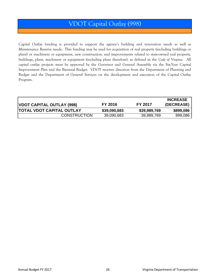## VDOT Capital Outlay (998)

Capital Outlay funding is provided to support the agency's building and renovation needs as well as Maintenance Reserve needs. This funding may be used for acquisition of real property (including buildings or plant) or machinery or equipment, new construction, and improvements related to state-owned real property, buildings, plant, machinery or equipment (including plans therefore), as defined in the *Code of Virginia.* All capital outlay projects must be approved by the Governor and General Assembly via the Six-Year Capital Improvement Plan and the Biennial Budget. VDOT receives direction from the Department of Planning and Budget and the Department of General Services on the development and execution of the Capital Outlay Program.

| VDOT CAPITAL OUTLAY (998)        | FY 2016      | FY 2017      | <b>INCREASE</b><br>(DECREASE) |
|----------------------------------|--------------|--------------|-------------------------------|
| <b>TOTAL VDOT CAPITAL OUTLAY</b> | \$39,090,683 | \$39,989,769 | \$899,086                     |
| <b>CONSTRUCTION</b>              | 39,090,683   | 39,989,769   | 899,086                       |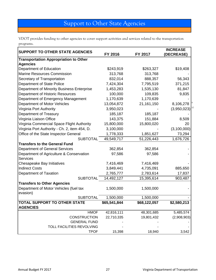# Support to Other State Agencies

VDOT provides funding to other agencies to cover support activities and services related to the transportation programs.

| <b>SUPPORT TO OTHER STATE AGENCIES</b>        |              |              | <b>INCREASE</b> |
|-----------------------------------------------|--------------|--------------|-----------------|
|                                               | FY 2016      | FY 2017      | (DECREASE)      |
| <b>Transportation Appropriation to Other</b>  |              |              |                 |
| <b>Agencies</b>                               |              |              |                 |
| Department of Education                       | \$243,919    | \$263,327    | \$19,408        |
| <b>Marine Resources Commission</b>            | 313,768      | 313,768      |                 |
| Secretary of Transportation                   | 832,014      | 888,357      | 56,343          |
| Department of State Police                    | 7,424,304    | 7,795,519    | 371,215         |
| Department of Minority Business Enterprise    | 1,453,283    | 1,535,130    | 81,847          |
| Department of Historic Resources              | 100,000      | 109,835      | 9,835           |
| Department of Emergency Management            | 1,170,639    | 1,170,639    |                 |
| Department of Motor Vehicles                  | 13,054,872   | 21,161,150   | 8,106,278       |
| Virginia Port Authority                       | 3,950,023    |              | (3,950,023)     |
| Department of Treasury                        | 185,187      | 185,187      |                 |
| Virginia Liaison Office                       | 143,375      | 151,884      | 8,509           |
| Virginia Commercial Space Flight Authority    | 15,800,000   | 15,800,020   | 20              |
| Virginia Port Authority - Ch. 2, item 454, D. | 3,100,000    |              | (3,100,000)     |
| Office of the State Inspector General         | 1,778,333    | 1,851,627    | 73,294          |
| <b>SUBTOTAL</b>                               | 49,549,717   | 51,226,443   | 1,676,726       |
| <b>Transfers to the General Fund</b>          |              |              |                 |
| Department of General Services                | 362,854      | 362,854      |                 |
| Department of Agriculture & Conservation      | 97,586       | 97,586       |                 |
| <b>Services</b>                               |              |              |                 |
| Chesapeake Bay Initiatives                    | 7,416,469    | 7,416,469    |                 |
| <b>Indirect Costs</b>                         | 3,849,441    | 4,735,091    | 885,650         |
| Department of Taxation                        | 2,765,777    | 2,783,614    | 17,837          |
| <b>SUBTOTAL</b>                               | 14,492,127   | 15,395,614   | 903,487         |
| <b>Transfers to Other Agencies</b>            |              |              |                 |
| Department of Motor Vehicles (fuel tax        | 1,500,000    | 1,500,000    |                 |
| evasion)                                      |              |              |                 |
| <b>SUBTOTAL</b>                               | 1,500,000    | 1,500,000    |                 |
| <b>TOTAL SUPPORT TO OTHER STATE</b>           | \$65,541,844 | \$68,122,057 | \$2,580,213     |
| <b>AGENCIES</b>                               |              |              |                 |
| <b>HMOF</b>                                   | 42,816,111   | 48,301,685   | 5,485,574       |
| <b>CONSTRUCTION</b>                           | 22,710,335   | 19,801,432   | (2,908,903)     |
| <b>GENERAL FUND</b>                           |              |              |                 |
| TOLL FACILITIES REVOLVING                     |              |              |                 |
| <b>TPOF</b>                                   | 15,398       | 18,940       | 3,542           |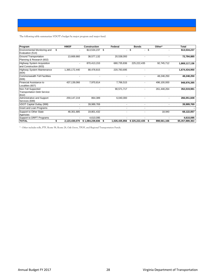The following table summarizes VDOT's budget by major program and major fund.

| Program                                                           | <b>HMOF</b>   | <b>Construction</b> |    | Federal        | <b>Bonds</b>                |      | Other*      | <b>Total</b>    |
|-------------------------------------------------------------------|---------------|---------------------|----|----------------|-----------------------------|------|-------------|-----------------|
| Environmental Monitoring and<br>Evaluation (514)                  | \$            | \$13,534,237        | \$ | $\blacksquare$ | \$<br>٠                     | \$   |             | \$13,534,237    |
| <b>Ground Transportation</b><br>Planning & Research (602)         | 13.669.660    | 38.577.132          |    | 20,538,093     |                             |      |             | 72,784,885      |
| <b>Highway System Acquisition</b><br>and Construction (603)       |               | 870.413.153         |    | 680,735,836    | 225,222,435                 |      | 92.745.712  | 1,869,117,136   |
| <b>Highway System Maintenance</b><br>(604)                        | 1.365.172.440 | 88,478,815          |    | 220.783.695    |                             |      |             | 1.674.434.950   |
| <b>Commonwealth Toll Facilities</b><br>(606)                      |               |                     |    |                |                             |      | 48.248.250  | 48.248.250      |
| Financial Assistance to<br>Localities (607)                       | 437.139.066   | 7.970.814           |    | 7,766,515      |                             |      | 496,100,000 | 948,976,395     |
| Non-Toll Supported<br><b>Transportation Debt Service</b><br>(612) |               |                     |    | 90.571.717     |                             |      | 261.448.264 | 352,019,981     |
| Administrative and Support<br>Services (699)                      | 259.147.219   | 864.389             |    | 6.040.000      |                             |      |             | 266.051.608     |
| VDOT Capital Outlay (998)                                         |               | 39.989.769          |    |                |                             |      |             | 39,989,769      |
| Grant and Loan Programs                                           |               |                     |    |                |                             |      |             |                 |
| Support to Other State<br>Agencies                                | 48.301.685    | 19.801.432          |    |                |                             |      | 18.940      | 68,122,057      |
| Support to DRPT Programs                                          |               | 4,610,095           |    |                |                             |      |             | 4,610,095       |
| <b>TOTAL</b>                                                      | 2.123.430.070 | \$1.084.239.836     | Ŝ. |                | 1.026.435.856 \$225.222.435 | - 56 | 898.561.166 | \$5.357.889.363 |

\* - Other includes tolls, PTF, Route 58, Route 28, Oak Grove, TPOF, and Regional Transportation Funds.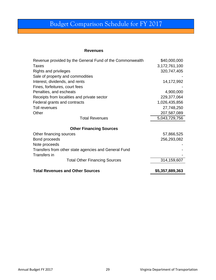# Budget Comparison Schedule for FY 2017

#### **Revenues**

| Revenue provided by the General Fund of the Commonwealth | \$40,000,000    |
|----------------------------------------------------------|-----------------|
| <b>Taxes</b>                                             | 3,172,761,100   |
| <b>Rights and privileges</b>                             | 320,747,405     |
| Sale of property and commodities                         |                 |
| Interest, dividends, and rents                           | 14,172,992      |
| Fines, forfeitures, court fees                           |                 |
| Penalties, and escheats                                  | 4,900,000       |
| Receipts from localities and private sector              | 229,377,064     |
| Federal grants and contracts                             | 1,026,435,856   |
| Toll revenues                                            | 27,748,250      |
| Other                                                    | 207,587,089     |
| <b>Total Revenues</b>                                    | 5,043,729,756   |
| <b>Other Financing Sources</b>                           |                 |
| Other financing sources                                  | 57,866,525      |
| Bond proceeds                                            | 256,293,082     |
| Note proceeds                                            |                 |
| Transfers from other state agencies and General Fund     |                 |
| Transfers in                                             |                 |
| <b>Total Other Financing Sources</b>                     | 314,159,607     |
| <b>Total Revenues and Other Sources</b>                  | \$5,357,889,363 |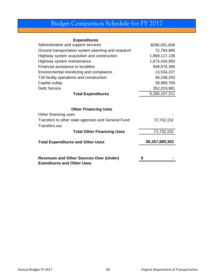# Budget Comparison Schedule for FY 2017

#### **Expenditures**

| Administrative and support services                                                 | \$266,051,608   |
|-------------------------------------------------------------------------------------|-----------------|
| Ground transportation system planning and research                                  | 72,784,885      |
| Highway system acquisition and construction                                         | 1,869,117,136   |
| Highway system maintenance                                                          | 1,674,434,950   |
| Financial assistance to localities                                                  | 948,976,395     |
| Environmental monitoring and compliance                                             | 13,534,237      |
| Toll facility operations and construction                                           | 48,248,250      |
| Capital outlay                                                                      | 39,989,769      |
| <b>Debt Service</b>                                                                 | 352,019,981     |
| <b>Total Expenditures</b>                                                           | 5,285,157,211   |
| <b>Other Financing Uses</b><br>Other financing uses                                 |                 |
| Transfers to other state agencies and General Fund<br><b>Transfers out</b>          | 72,732,152      |
| <b>Total Other Financing Uses</b>                                                   | 72,732,152      |
| <b>Total Expenditures and Other Uses</b>                                            | \$5,357,889,363 |
| <b>Revenues and Other Sources Over (Under)</b><br><b>Exenditures and Other Uses</b> |                 |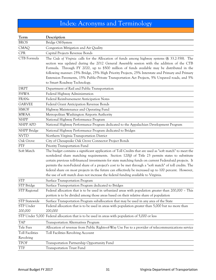# Index: Acronyms and Terminology

| Term                                | Description                                                                                                                                                                                                                                                                                                                                                                                                                                                                                                                                                                                                                     |
|-------------------------------------|---------------------------------------------------------------------------------------------------------------------------------------------------------------------------------------------------------------------------------------------------------------------------------------------------------------------------------------------------------------------------------------------------------------------------------------------------------------------------------------------------------------------------------------------------------------------------------------------------------------------------------|
| <b>BROS</b>                         | Bridge Off-System                                                                                                                                                                                                                                                                                                                                                                                                                                                                                                                                                                                                               |
| <b>CMAQ</b>                         | Congestion Mitigation and Air Quality                                                                                                                                                                                                                                                                                                                                                                                                                                                                                                                                                                                           |
| CPR                                 | Capital Projects Revenue Bonds                                                                                                                                                                                                                                                                                                                                                                                                                                                                                                                                                                                                  |
| CTB Formula                         | The Code of Virginia calls for the Allocation of funds among highway systems (§ 33.2-358). The<br>section was updated during the 2012 General Assembly session with the addition of the CTB<br>Formula. Through FY 2020, up to \$500 million of funds available may be distributed in the<br>following manner: 25% Bridge, 25% High Priority Projects, 25% Interstate and Primary and Primary<br>Extension Pavements, 15% Public-Private Transportation Act Projects, 5% Unpaved roads, and 5%<br>to Smart Roadway Technology.                                                                                                  |
| <b>DRPT</b>                         | Department of Rail and Public Transportation                                                                                                                                                                                                                                                                                                                                                                                                                                                                                                                                                                                    |
| <b>FHWA</b>                         | Federal Highway Administration                                                                                                                                                                                                                                                                                                                                                                                                                                                                                                                                                                                                  |
| <b>FRANs</b>                        | Federal Reimbursement Anticipation Notes                                                                                                                                                                                                                                                                                                                                                                                                                                                                                                                                                                                        |
| <b>GARVEE</b>                       | Federal Grant Anticipation Revenue Bonds                                                                                                                                                                                                                                                                                                                                                                                                                                                                                                                                                                                        |
| <b>HMOF</b>                         | Highway Maintenance and Operating Fund                                                                                                                                                                                                                                                                                                                                                                                                                                                                                                                                                                                          |
| <b>MWAA</b>                         | Metropolitan Washington Airports Authority                                                                                                                                                                                                                                                                                                                                                                                                                                                                                                                                                                                      |
| <b>NHPP</b>                         | National Highway Performance Program                                                                                                                                                                                                                                                                                                                                                                                                                                                                                                                                                                                            |
| NHPP APD                            | National Highway Performance Program dedicated to the Appalachian Development Program                                                                                                                                                                                                                                                                                                                                                                                                                                                                                                                                           |
| NHPP Bridge                         | National Highway Performance Program dedicated to Bridges                                                                                                                                                                                                                                                                                                                                                                                                                                                                                                                                                                       |
| <b>NVTD</b>                         | Northern Virginia Transportation District                                                                                                                                                                                                                                                                                                                                                                                                                                                                                                                                                                                       |
| Oak Grove                           | City of Chesapeake Oak Grove Connector Project Bonds                                                                                                                                                                                                                                                                                                                                                                                                                                                                                                                                                                            |
| PTF                                 | Priority Transportation Fund                                                                                                                                                                                                                                                                                                                                                                                                                                                                                                                                                                                                    |
| Soft Match                          | The budget contains a significant application of Toll Credits that are used as "soft match" to meet the<br>nonfederal share matching requirements. Section 120(j) of Title 23 permits states to substitute<br>certain previous toll-financed investments for state matching funds on current Federal-aid projects. It<br>permits the non-Federal share of a project's cost to be met through a "soft match" of toll credits. The<br>federal share on most projects in the future can effectively be increased up to 100 percent. However,<br>the use of soft match does not increase the federal funding available to Virginia. |
| <b>STP</b>                          | Surface Transportation Program                                                                                                                                                                                                                                                                                                                                                                                                                                                                                                                                                                                                  |
| STP Bridge                          | Surface Transportation Program dedicated to Bridges                                                                                                                                                                                                                                                                                                                                                                                                                                                                                                                                                                             |
| STP Regional                        | Federal allocation that is to be used in urbanized areas with population greater than 200,000 - This<br>portion is to be divided among those areas based on their relative share of population                                                                                                                                                                                                                                                                                                                                                                                                                                  |
| STP Statewide                       | Surface Transportation Program suballocation that may be used in any area of the State                                                                                                                                                                                                                                                                                                                                                                                                                                                                                                                                          |
| STP Under<br>200,000                | Federal allocation that is to be used in areas with population greater than 5,000 but no more than<br>200,000                                                                                                                                                                                                                                                                                                                                                                                                                                                                                                                   |
|                                     | STP Under 5,000 Federal allocation that is to be used in areas with population of 5,000 or less                                                                                                                                                                                                                                                                                                                                                                                                                                                                                                                                 |
| <b>TAP</b>                          | <b>Transportation Alternatives Program</b>                                                                                                                                                                                                                                                                                                                                                                                                                                                                                                                                                                                      |
| Tele Fees                           | Allocation of revenue from Public Rights-of-Way Use Fee to a provider of telecommunications service                                                                                                                                                                                                                                                                                                                                                                                                                                                                                                                             |
| <b>Toll Facilities</b><br>Revolving | Toll Facilities Revolving Account                                                                                                                                                                                                                                                                                                                                                                                                                                                                                                                                                                                               |
| <b>TPOF</b>                         | Transportation Partnership Opportunity Fund                                                                                                                                                                                                                                                                                                                                                                                                                                                                                                                                                                                     |
| <b>TTF</b>                          | <b>Transportation Trust Fund</b>                                                                                                                                                                                                                                                                                                                                                                                                                                                                                                                                                                                                |